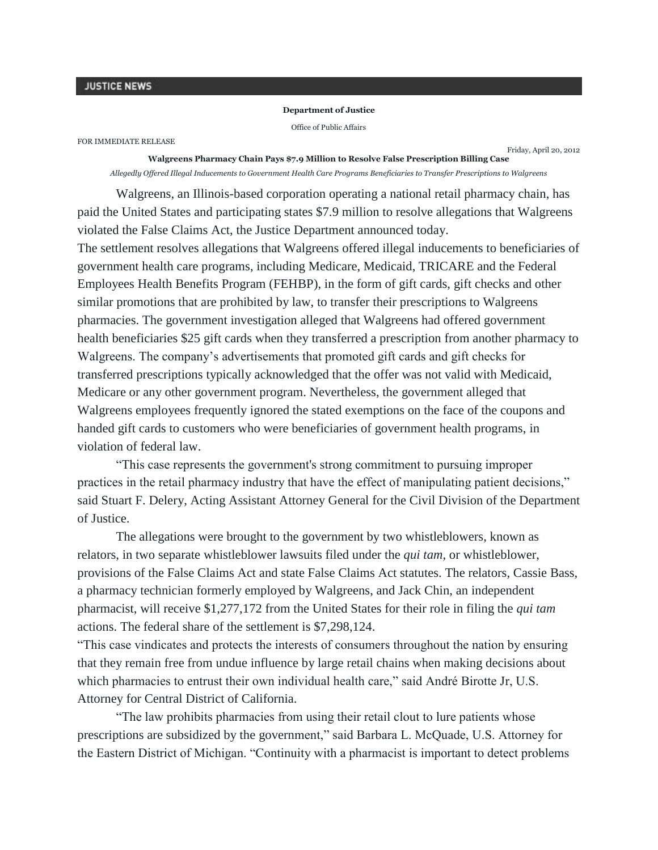## **Department of Justice**

Office of Public Affairs

FOR IMMEDIATE RELEASE

Friday, April 20, 2012

**Walgreens Pharmacy Chain Pays \$7.9 Million to Resolve False Prescription Billing Case** *Allegedly Offered Illegal Inducements to Government Health Care Programs Beneficiaries to Transfer Prescriptions to Walgreens*

Walgreens, an Illinois-based corporation operating a national retail pharmacy chain, has paid the United States and participating states \$7.9 million to resolve allegations that Walgreens violated the False Claims Act, the Justice Department announced today.

The settlement resolves allegations that Walgreens offered illegal inducements to beneficiaries of government health care programs, including Medicare, Medicaid, TRICARE and the Federal Employees Health Benefits Program (FEHBP), in the form of gift cards, gift checks and other similar promotions that are prohibited by law, to transfer their prescriptions to Walgreens pharmacies. The government investigation alleged that Walgreens had offered government health beneficiaries \$25 gift cards when they transferred a prescription from another pharmacy to Walgreens. The company's advertisements that promoted gift cards and gift checks for transferred prescriptions typically acknowledged that the offer was not valid with Medicaid, Medicare or any other government program. Nevertheless, the government alleged that Walgreens employees frequently ignored the stated exemptions on the face of the coupons and handed gift cards to customers who were beneficiaries of government health programs, in violation of federal law.

"This case represents the government's strong commitment to pursuing improper practices in the retail pharmacy industry that have the effect of manipulating patient decisions," said Stuart F. Delery, Acting Assistant Attorney General for the Civil Division of the Department of Justice.

The allegations were brought to the government by two whistleblowers, known as relators, in two separate whistleblower lawsuits filed under the *qui tam,* or whistleblower, provisions of the False Claims Act and state False Claims Act statutes. The relators, Cassie Bass, a pharmacy technician formerly employed by Walgreens, and Jack Chin, an independent pharmacist, will receive \$1,277,172 from the United States for their role in filing the *qui tam* actions. The federal share of the settlement is \$7,298,124.

"This case vindicates and protects the interests of consumers throughout the nation by ensuring that they remain free from undue influence by large retail chains when making decisions about which pharmacies to entrust their own individual health care," said André Birotte Jr, U.S. Attorney for Central District of California.

"The law prohibits pharmacies from using their retail clout to lure patients whose prescriptions are subsidized by the government," said Barbara L. McQuade, U.S. Attorney for the Eastern District of Michigan. "Continuity with a pharmacist is important to detect problems